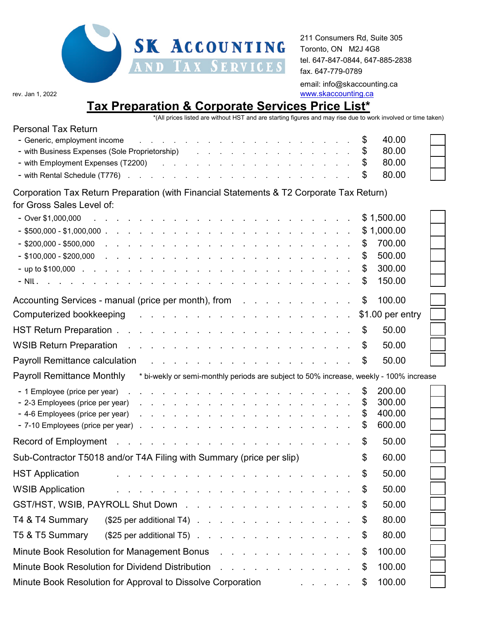

211 Consumers Rd, Suite 305 Toronto, ON M2J 4G8 tel. 647-847-0844, 647-885-2838 fax. 647-779-0789 email: info@skaccounting.ca rev. Jan 1, 2022 **www.skaccounting.ca** 

## **Tax Preparation & Corporate Services Price List\***

\*(All prices listed are without HST and are starting figures and may rise due to work involved or time taken)

| <b>Personal Tax Return</b>                                                                                                                                                                                                                                         |  |                  |  |
|--------------------------------------------------------------------------------------------------------------------------------------------------------------------------------------------------------------------------------------------------------------------|--|------------------|--|
| - Generic, employment income<br>and a series of the contract of the contract of the contract of the contract of                                                                                                                                                    |  | \$<br>40.00      |  |
|                                                                                                                                                                                                                                                                    |  | \$<br>80.00      |  |
| - with Employment Expenses (T2200) and the contract of the contract of the contract of the contract of the contract of the contract of the contract of the contract of the contract of the contract of the contract of the con                                     |  | 80.00            |  |
|                                                                                                                                                                                                                                                                    |  | 80.00            |  |
| Corporation Tax Return Preparation (with Financial Statements & T2 Corporate Tax Return)                                                                                                                                                                           |  |                  |  |
| for Gross Sales Level of:                                                                                                                                                                                                                                          |  |                  |  |
| - Over \$1,000,000<br>a construction of the construction of the construction of the construction of the construction of the construction of the construction of the construction of the construction of the construction of the construction of the                |  | \$1,500.00       |  |
|                                                                                                                                                                                                                                                                    |  | \$1,000.00       |  |
| $-$ \$200,000 - \$500,000<br>and the contract of the contract of the contract of the contract of the contract of                                                                                                                                                   |  | \$<br>700.00     |  |
| - \$100,000 - \$200,000<br>and the contract of the contract of the contract of the contract of the contract of                                                                                                                                                     |  | \$<br>500.00     |  |
|                                                                                                                                                                                                                                                                    |  | \$<br>300.00     |  |
| - NIL and a community of the community of the community of the community of the community of the community of                                                                                                                                                      |  | 150.00           |  |
| Accounting Services - manual (price per month), from                                                                                                                                                                                                               |  | \$<br>100.00     |  |
| Computerized bookkeeping research and research and research and research and research and research and research                                                                                                                                                    |  | \$1.00 per entry |  |
|                                                                                                                                                                                                                                                                    |  | \$<br>50.00      |  |
|                                                                                                                                                                                                                                                                    |  | \$<br>50.00      |  |
| Payroll Remittance calculation<br>and the contract of the contract of the contract of the contract of                                                                                                                                                              |  | \$<br>50.00      |  |
| <b>Payroll Remittance Monthly</b><br>* bi-wekly or semi-monthly periods are subject to 50% increase, weekly - 100% increase                                                                                                                                        |  |                  |  |
| - 1 Employee (price per year).<br>the second contract of the second contract of the second contract of                                                                                                                                                             |  | \$<br>200.00     |  |
| - 2-3 Employees (price per year)<br>and the contract of the contract of the contract of the contract of the contract of the contract of the contract of the contract of the contract of the contract of the contract of the contract of the contract of the contra |  | \$<br>300.00     |  |
| - 4-6 Employees (price per year)<br>the contract of the contract of the contract of the contract of                                                                                                                                                                |  | 400.00           |  |
| - 7-10 Employees (price per year).<br>the contract of the contract of the contract of the contract of                                                                                                                                                              |  | \$<br>600.00     |  |
| and the contract of the contract of the contract of the contract of the contract of the contract of the contract of the contract of the contract of the contract of the contract of the contract of the contract of the contra<br>Record of Employment             |  | \$<br>50.00      |  |
| Sub-Contractor T5018 and/or T4A Filing with Summary (price per slip)                                                                                                                                                                                               |  | \$<br>60.00      |  |
| <b>HST Application</b>                                                                                                                                                                                                                                             |  | \$<br>50.00      |  |
| <b>WSIB Application</b><br>the contract of the contract of the contract of the contract of                                                                                                                                                                         |  | \$<br>50.00      |  |
| GST/HST, WSIB, PAYROLL Shut Down                                                                                                                                                                                                                                   |  | 50.00            |  |
| T4 & T4 Summary<br>$($25$ per additional T4) $\ldots$ $\ldots$ $\ldots$ $\ldots$ $\ldots$ $\ldots$                                                                                                                                                                 |  | 80.00            |  |
| T5 & T5 Summary<br>$($25$ per additional T5) $\ldots$ $\ldots$ $\ldots$ $\ldots$ $\ldots$ $\ldots$                                                                                                                                                                 |  | 80.00            |  |
| Minute Book Resolution for Management Bonus                                                                                                                                                                                                                        |  | \$<br>100.00     |  |
| Minute Book Resolution for Dividend Distribution<br>and a strong contract and a strong                                                                                                                                                                             |  | 100.00           |  |
| Minute Book Resolution for Approval to Dissolve Corporation<br>and the contract of the                                                                                                                                                                             |  | 100.00           |  |